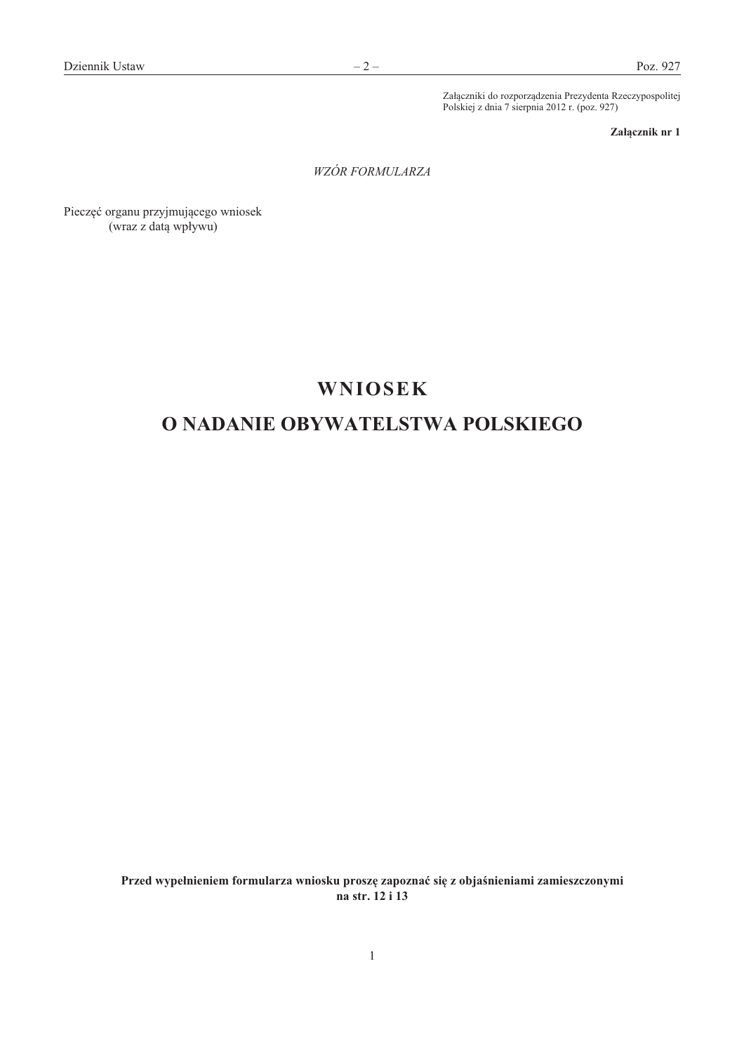Załączniki do rozporządzenia Prezydenta Rzeczypospolitej Polskiej z dnia 7 sierpnia 2012 r. (poz. 927)

Załącznik nr 1

WZÓR FORMULARZA

Pieczęć organu przyjmującego wniosek (wraz z datą wpływu)

# **WNIOSEK**

# O NADANIE OBYWATELSTWA POLSKIEGO

Przed wypełnieniem formularza wniosku proszę zapoznać się z objaśnieniami zamieszczonymi na str. 12 i 13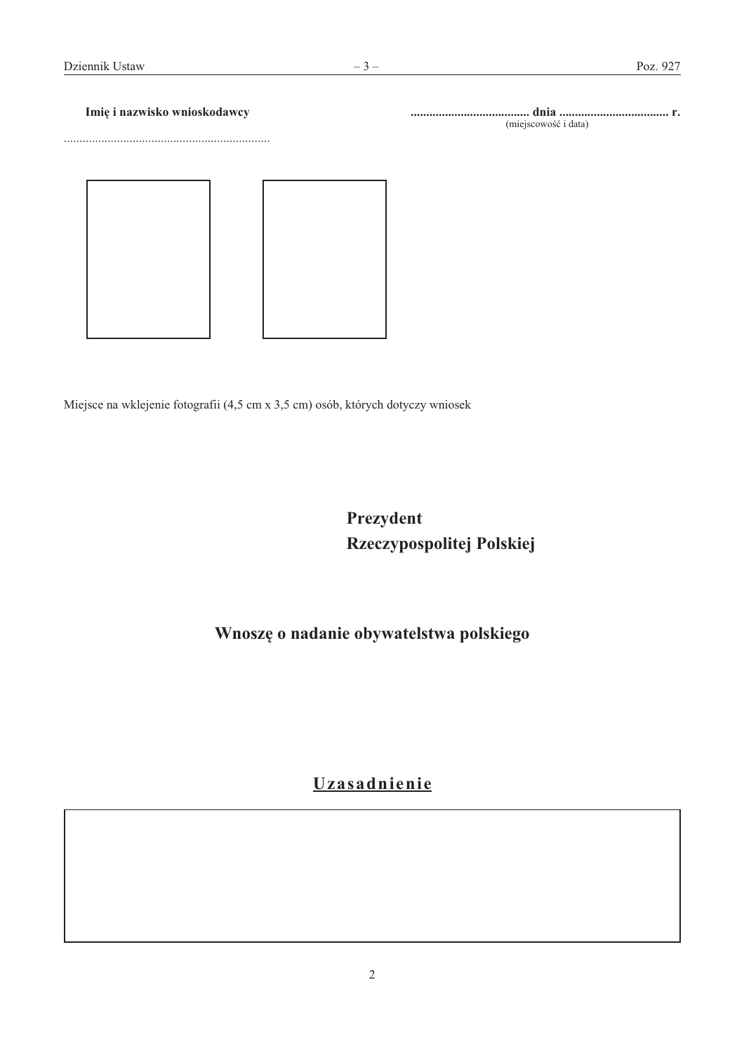#### $-3-$

Imię i nazwisko wnioskodawcy

(miejscowość i data)

Miejsce na wklejenie fotografii (4,5 cm x 3,5 cm) osób, których dotyczy wniosek

Prezydent Rzeczypospolitej Polskiej

Wnoszę o nadanie obywatelstwa polskiego

# Uzasadnienie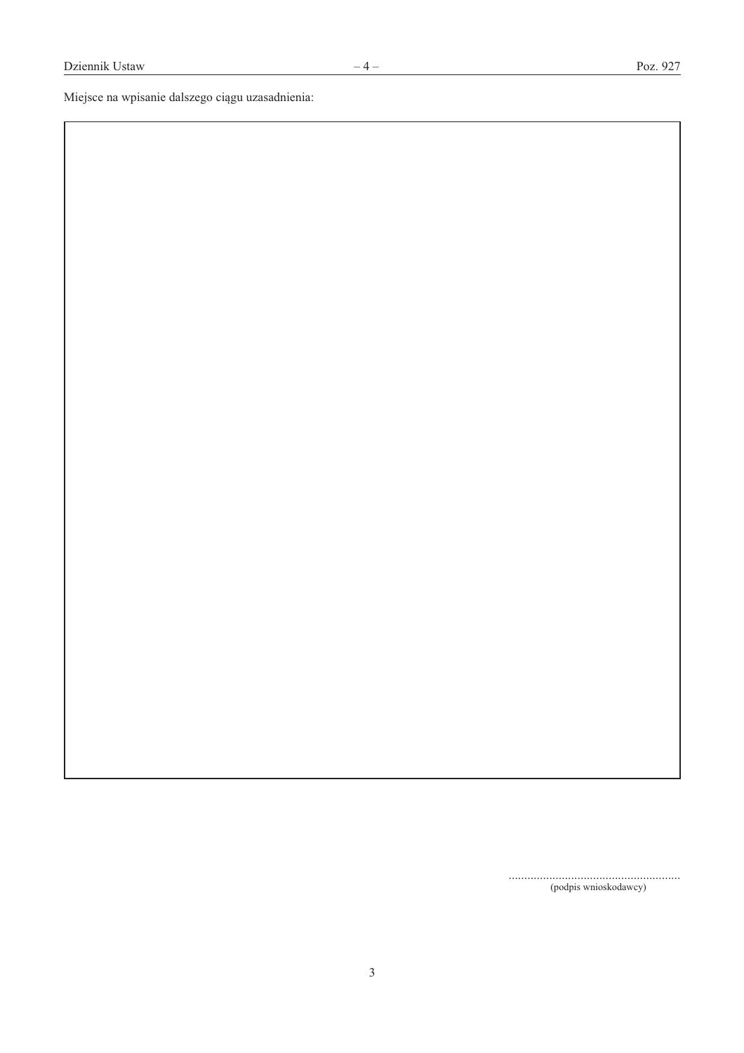Miejsce na wpisanie dalszego ciągu uzasadnienia:

 $(podpis\text{ wnioskodawcy})$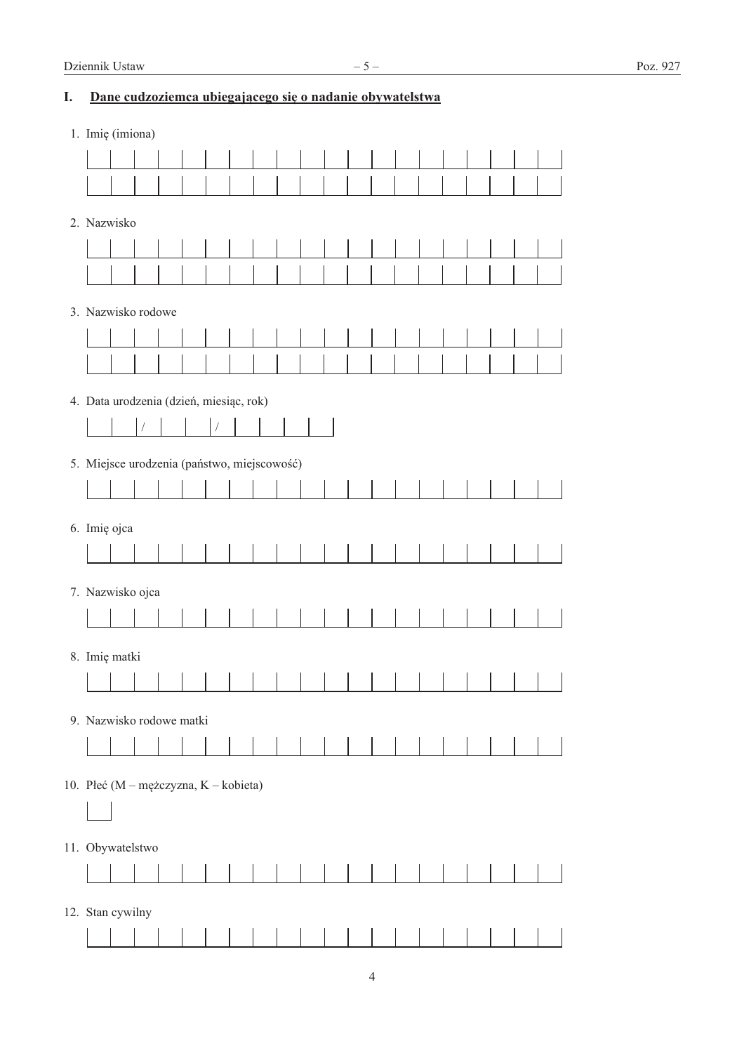## I. Dane cudzoziemca ubiegającego się o nadanie obywatelstwa

| 1. Imię (imiona)                            |  |  |  |  |  |  |  |  |  |  |
|---------------------------------------------|--|--|--|--|--|--|--|--|--|--|
|                                             |  |  |  |  |  |  |  |  |  |  |
|                                             |  |  |  |  |  |  |  |  |  |  |
|                                             |  |  |  |  |  |  |  |  |  |  |
| 2. Nazwisko                                 |  |  |  |  |  |  |  |  |  |  |
|                                             |  |  |  |  |  |  |  |  |  |  |
|                                             |  |  |  |  |  |  |  |  |  |  |
| 3. Nazwisko rodowe                          |  |  |  |  |  |  |  |  |  |  |
|                                             |  |  |  |  |  |  |  |  |  |  |
|                                             |  |  |  |  |  |  |  |  |  |  |
|                                             |  |  |  |  |  |  |  |  |  |  |
| 4. Data urodzenia (dzień, miesiąc, rok)     |  |  |  |  |  |  |  |  |  |  |
|                                             |  |  |  |  |  |  |  |  |  |  |
| 5. Miejsce urodzenia (państwo, miejscowość) |  |  |  |  |  |  |  |  |  |  |
|                                             |  |  |  |  |  |  |  |  |  |  |
|                                             |  |  |  |  |  |  |  |  |  |  |
| 6. Imię ojca                                |  |  |  |  |  |  |  |  |  |  |
|                                             |  |  |  |  |  |  |  |  |  |  |
| 7. Nazwisko ojca                            |  |  |  |  |  |  |  |  |  |  |
|                                             |  |  |  |  |  |  |  |  |  |  |
|                                             |  |  |  |  |  |  |  |  |  |  |
| 8. Imię matki                               |  |  |  |  |  |  |  |  |  |  |
|                                             |  |  |  |  |  |  |  |  |  |  |
| 9. Nazwisko rodowe matki                    |  |  |  |  |  |  |  |  |  |  |
|                                             |  |  |  |  |  |  |  |  |  |  |
|                                             |  |  |  |  |  |  |  |  |  |  |
| 10. Płeć (M – mężczyzna, K – kobieta)       |  |  |  |  |  |  |  |  |  |  |
|                                             |  |  |  |  |  |  |  |  |  |  |
| 11. Obywatelstwo                            |  |  |  |  |  |  |  |  |  |  |
|                                             |  |  |  |  |  |  |  |  |  |  |
|                                             |  |  |  |  |  |  |  |  |  |  |
| 12. Stan cywilny                            |  |  |  |  |  |  |  |  |  |  |
|                                             |  |  |  |  |  |  |  |  |  |  |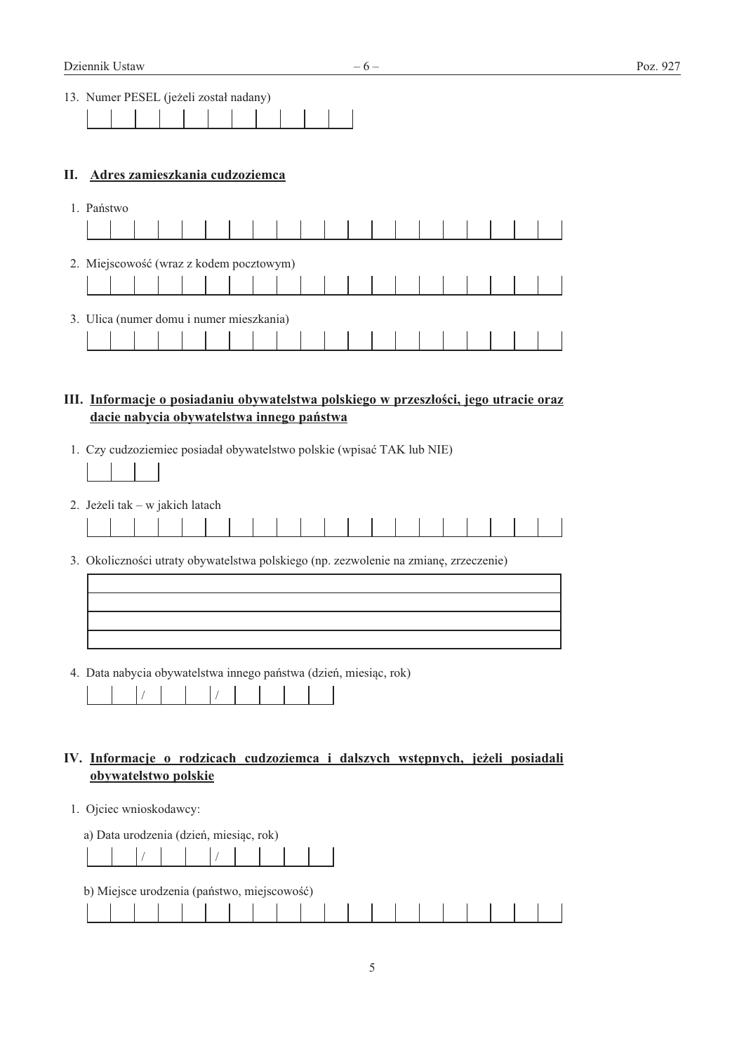$-6-$ 

| 13. Numer PESEL (jeżeli został nadany) |  |  |  |  |  |  |
|----------------------------------------|--|--|--|--|--|--|
|                                        |  |  |  |  |  |  |

#### II. Adres zamieszkania cudzoziemca

| 1. | Państwo                                  |  |                       |  |  |  |  |  |  |  |  |  |
|----|------------------------------------------|--|-----------------------|--|--|--|--|--|--|--|--|--|
|    |                                          |  |                       |  |  |  |  |  |  |  |  |  |
|    | 2. Miejscowość (wraz z kodem pocztowym)  |  |                       |  |  |  |  |  |  |  |  |  |
|    |                                          |  |                       |  |  |  |  |  |  |  |  |  |
|    | 3. Ulica (numer domu i numer mieszkania) |  |                       |  |  |  |  |  |  |  |  |  |
|    |                                          |  | 1 1 1 1 1 1 1 1 1 1 1 |  |  |  |  |  |  |  |  |  |

#### III. Informacje o posiadaniu obywatelstwa polskiego w przeszłości, jego utracie oraz dacie nabycia obywatelstwa innego państwa

1. Czy cudzoziemiec posiadał obywatelstwo polskie (wpisać TAK lub NIE)

2. Jeżeli tak – w jakich latach

|  |  | the contract of the contract of the contract of the contract of the contract of the contract of the contract of |  |  |  |  |  |  |  |  |
|--|--|-----------------------------------------------------------------------------------------------------------------|--|--|--|--|--|--|--|--|
|  |  |                                                                                                                 |  |  |  |  |  |  |  |  |

3. Okoliczności utraty obywatelstwa polskiego (np. zezwolenie na zmianę, zrzeczenie)

4. Data nabycia obywatelstwa innego państwa (dzień, miesiąc, rok)

#### IV. Informacje o rodzicach cudzoziemca i dalszych wstępnych, jeżeli posiadali obywatelstwo polskie

1. Ojciec wnioskodawcy:

| a) Data urodzenia (dzień, miesiąc, rok) |  |  |  |  |  |
|-----------------------------------------|--|--|--|--|--|
|                                         |  |  |  |  |  |

|  |  | b) Miejsce urodzenia (państwo, miejscowość) |  |  |  |  |  |  |  |  |
|--|--|---------------------------------------------|--|--|--|--|--|--|--|--|
|  |  |                                             |  |  |  |  |  |  |  |  |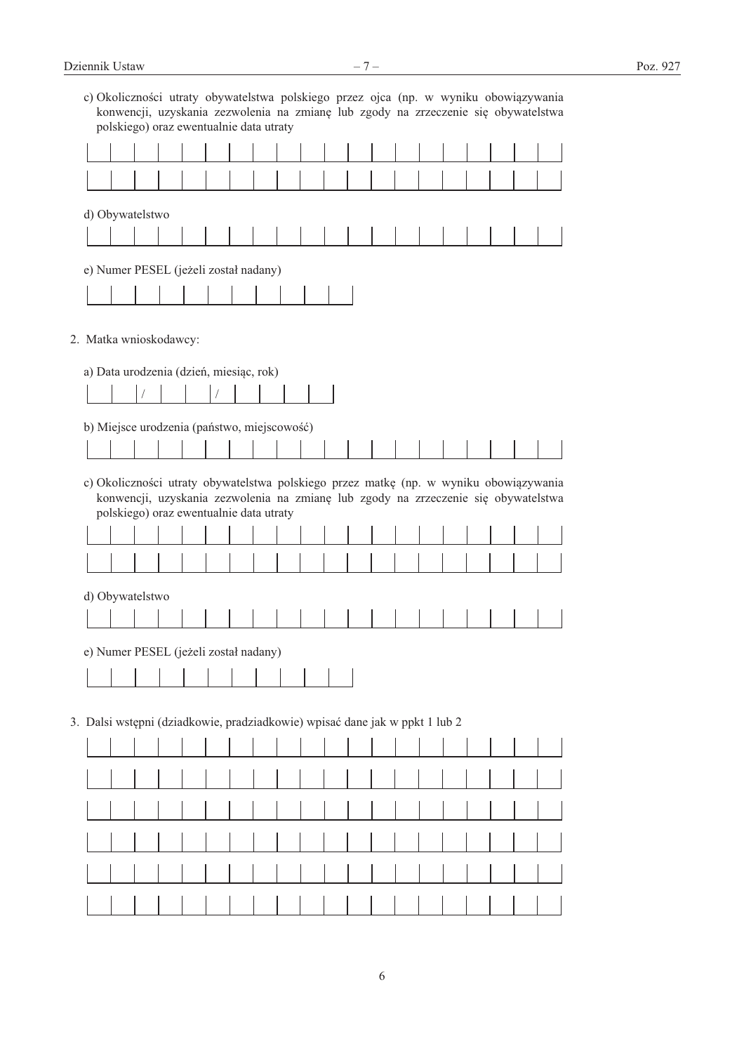|                        |  | polskiego) oraz ewentualnie data utraty                                     |  |  |  |  |  |  |  | c) Okoliczności utraty obywatelstwa polskiego przez ojca (np. w wyniku obowiązywania<br>konwencji, uzyskania zezwolenia na zmianę lub zgody na zrzeczenie się obywatelstwa  |
|------------------------|--|-----------------------------------------------------------------------------|--|--|--|--|--|--|--|-----------------------------------------------------------------------------------------------------------------------------------------------------------------------------|
|                        |  |                                                                             |  |  |  |  |  |  |  |                                                                                                                                                                             |
|                        |  |                                                                             |  |  |  |  |  |  |  |                                                                                                                                                                             |
| d) Obywatelstwo        |  |                                                                             |  |  |  |  |  |  |  |                                                                                                                                                                             |
|                        |  |                                                                             |  |  |  |  |  |  |  |                                                                                                                                                                             |
|                        |  | e) Numer PESEL (jeżeli został nadany)                                       |  |  |  |  |  |  |  |                                                                                                                                                                             |
|                        |  |                                                                             |  |  |  |  |  |  |  |                                                                                                                                                                             |
| 2. Matka wnioskodawcy: |  |                                                                             |  |  |  |  |  |  |  |                                                                                                                                                                             |
|                        |  |                                                                             |  |  |  |  |  |  |  |                                                                                                                                                                             |
|                        |  | a) Data urodzenia (dzień, miesiąc, rok)                                     |  |  |  |  |  |  |  |                                                                                                                                                                             |
|                        |  | b) Miejsce urodzenia (państwo, miejscowość)                                 |  |  |  |  |  |  |  |                                                                                                                                                                             |
|                        |  |                                                                             |  |  |  |  |  |  |  |                                                                                                                                                                             |
|                        |  | polskiego) oraz ewentualnie data utraty                                     |  |  |  |  |  |  |  | c) Okoliczności utraty obywatelstwa polskiego przez matkę (np. w wyniku obowiązywania<br>konwencji, uzyskania zezwolenia na zmianę lub zgody na zrzeczenie się obywatelstwa |
|                        |  |                                                                             |  |  |  |  |  |  |  |                                                                                                                                                                             |
| d) Obywatelstwo        |  |                                                                             |  |  |  |  |  |  |  |                                                                                                                                                                             |
|                        |  |                                                                             |  |  |  |  |  |  |  |                                                                                                                                                                             |
|                        |  | e) Numer PESEL (jeżeli został nadany)                                       |  |  |  |  |  |  |  |                                                                                                                                                                             |
|                        |  |                                                                             |  |  |  |  |  |  |  |                                                                                                                                                                             |
|                        |  | 3. Dalsi wstępni (dziadkowie, pradziadkowie) wpisać dane jak w ppkt 1 lub 2 |  |  |  |  |  |  |  |                                                                                                                                                                             |
|                        |  |                                                                             |  |  |  |  |  |  |  |                                                                                                                                                                             |
|                        |  |                                                                             |  |  |  |  |  |  |  |                                                                                                                                                                             |
|                        |  |                                                                             |  |  |  |  |  |  |  |                                                                                                                                                                             |
|                        |  |                                                                             |  |  |  |  |  |  |  |                                                                                                                                                                             |
|                        |  |                                                                             |  |  |  |  |  |  |  |                                                                                                                                                                             |
|                        |  |                                                                             |  |  |  |  |  |  |  |                                                                                                                                                                             |
|                        |  |                                                                             |  |  |  |  |  |  |  |                                                                                                                                                                             |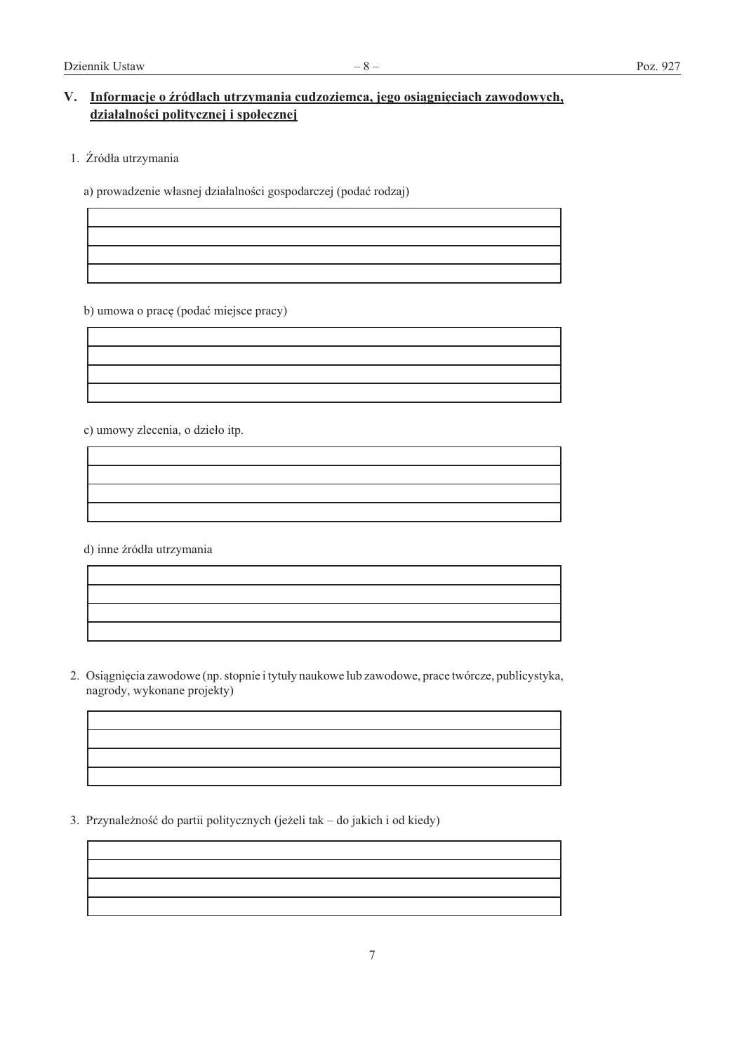### V. Informacje o źródłach utrzymania cudzoziemca, jego osiągnięciach zawodowych, działalności politycznej i społecznej

1. Źródła utrzymania

a) prowadzenie własnej działalności gospodarczej (podać rodzaj)

b) umowa o pracę (podać miejsce pracy)

c) umowy zlecenia, o dzieło itp.

d) inne źródła utrzymania

2. Osiągnięcia zawodowe (np. stopnie i tytuły naukowe lub zawodowe, prace twórcze, publicystyka, nagrody, wykonane projekty)

3. Przynależność do partii politycznych (jeżeli tak – do jakich i od kiedy)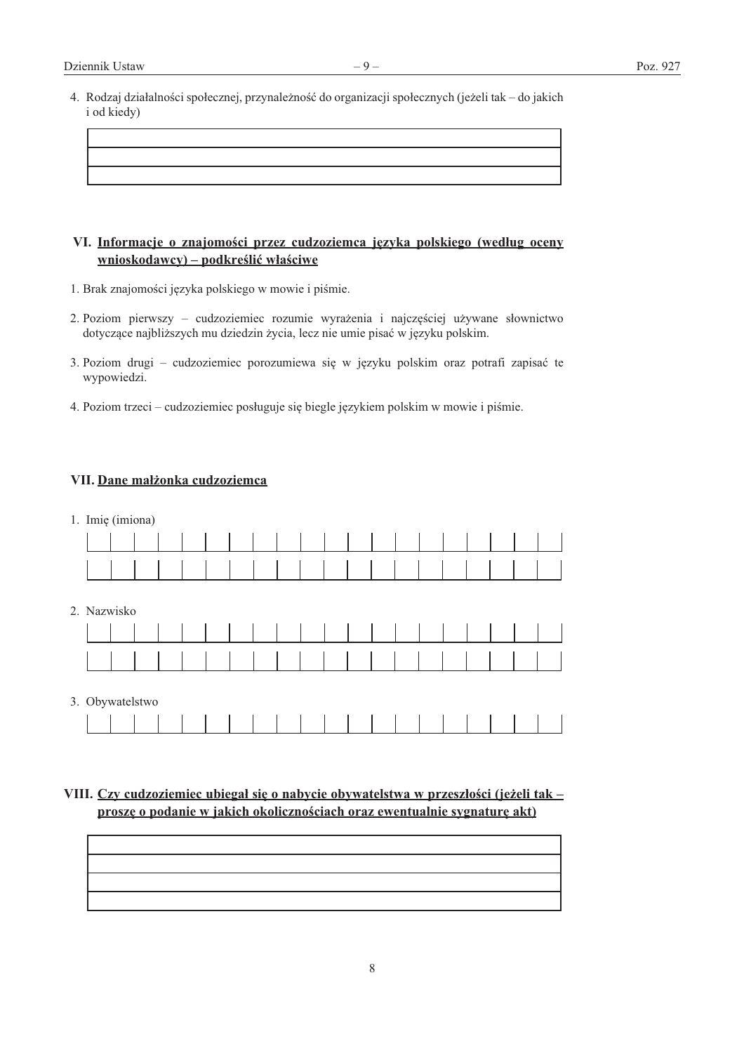4. Rodzaj działalności społecznej, przynależność do organizacji społecznych (jeżeli tak – do jakich i od kiedy)

#### VI. Informacje o znajomości przez cudzoziemca języka polskiego (według oceny wnioskodawcy) – podkreślić właściwe

- 1. Brak znajomości języka polskiego w mowie i piśmie.
- 2. Poziom pierwszy cudzoziemiec rozumie wyrażenia i najczęściej używane słownictwo dotyczące najbliższych mu dziedzin życia, lecz nie umie pisać w języku polskim.
- 3. Poziom drugi cudzoziemiec porozumiewa się w języku polskim oraz potrafi zapisać te wypowiedzi.
- 4. Poziom trzeci cudzoziemiec posługuje się biegle językiem polskim w mowie i piśmie.

#### VII. Dane małżonka cudzoziemca

| 1. Imię (imiona) |  |  |  |  |  |  |  |  |  |  |
|------------------|--|--|--|--|--|--|--|--|--|--|
|                  |  |  |  |  |  |  |  |  |  |  |
|                  |  |  |  |  |  |  |  |  |  |  |
| 2. Nazwisko      |  |  |  |  |  |  |  |  |  |  |
|                  |  |  |  |  |  |  |  |  |  |  |
|                  |  |  |  |  |  |  |  |  |  |  |
| 3. Obywatelstwo  |  |  |  |  |  |  |  |  |  |  |
|                  |  |  |  |  |  |  |  |  |  |  |

### VIII. Czy cudzoziemiec ubiegał się o nabycie obywatelstwa w przeszłości (jeżeli tak – proszę o podanie w jakich okolicznościach oraz ewentualnie sygnaturę akt)

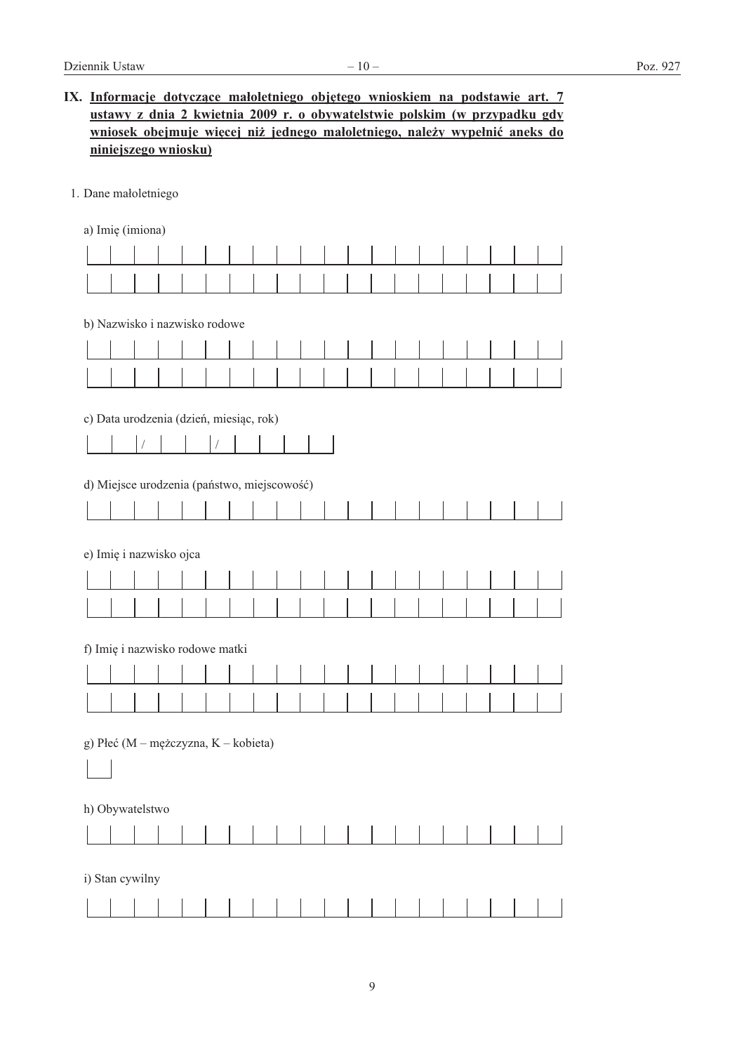| IX. Informacje dotyczące małoletniego objętego wnioskiem na podstawie art. 7 |
|------------------------------------------------------------------------------|
| ustawy z dnia 2 kwietnia 2009 r. o obywatelstwie polskim (w przypadku gdy    |
| wniosek obejmuje więcej niż jednego małoletniego, należy wypełnić aneks do   |
| niniejszego wniosku)                                                         |

1. Dane małoletniego

a) Imię (imiona)

| b) Nazwisko i nazwisko rodowe                         |                                             |  |  |  |  |  |  |  |  |  |  |  |  |  |  |
|-------------------------------------------------------|---------------------------------------------|--|--|--|--|--|--|--|--|--|--|--|--|--|--|
|                                                       |                                             |  |  |  |  |  |  |  |  |  |  |  |  |  |  |
|                                                       |                                             |  |  |  |  |  |  |  |  |  |  |  |  |  |  |
| c) Data urodzenia (dzień, miesiąc, rok)<br>$\sqrt{2}$ |                                             |  |  |  |  |  |  |  |  |  |  |  |  |  |  |
|                                                       | d) Miejsce urodzenia (państwo, miejscowość) |  |  |  |  |  |  |  |  |  |  |  |  |  |  |
|                                                       |                                             |  |  |  |  |  |  |  |  |  |  |  |  |  |  |
|                                                       | e) Imię i nazwisko ojca                     |  |  |  |  |  |  |  |  |  |  |  |  |  |  |
|                                                       |                                             |  |  |  |  |  |  |  |  |  |  |  |  |  |  |
|                                                       |                                             |  |  |  |  |  |  |  |  |  |  |  |  |  |  |
| f) Imię i nazwisko rodowe matki                       |                                             |  |  |  |  |  |  |  |  |  |  |  |  |  |  |
|                                                       |                                             |  |  |  |  |  |  |  |  |  |  |  |  |  |  |
| g) Płeć (M - mężczyzna, K - kobieta)                  |                                             |  |  |  |  |  |  |  |  |  |  |  |  |  |  |
| h) Obywatelstwo                                       |                                             |  |  |  |  |  |  |  |  |  |  |  |  |  |  |
|                                                       |                                             |  |  |  |  |  |  |  |  |  |  |  |  |  |  |
| i) Stan cywilny                                       |                                             |  |  |  |  |  |  |  |  |  |  |  |  |  |  |
|                                                       |                                             |  |  |  |  |  |  |  |  |  |  |  |  |  |  |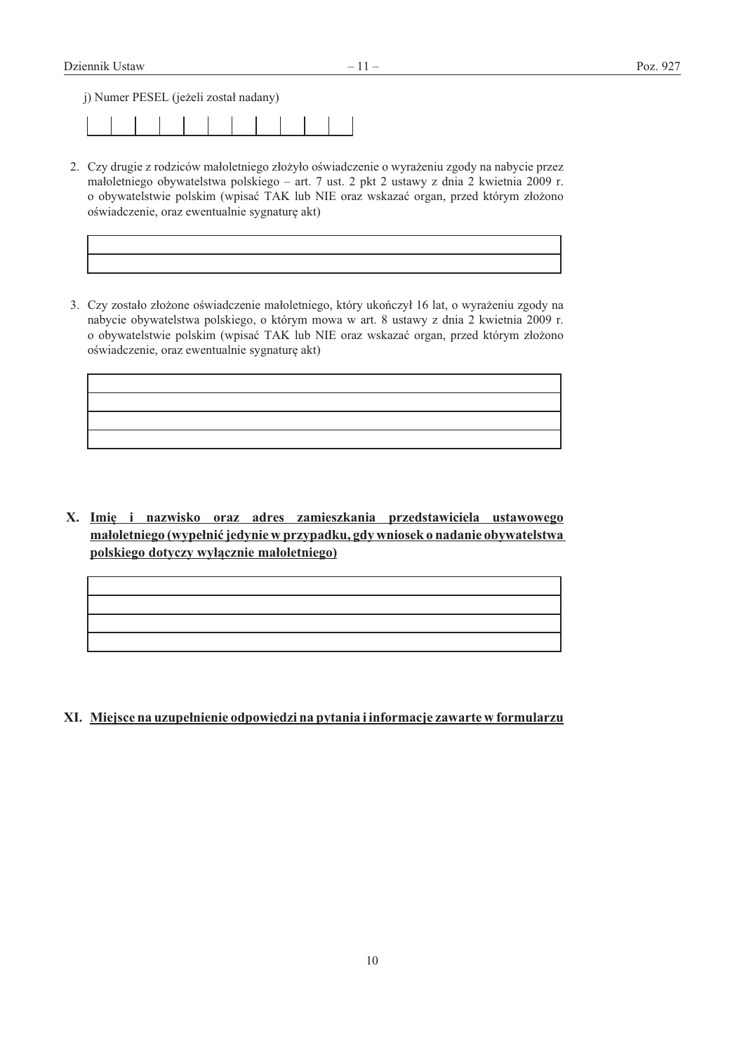j) Numer PESEL (jeżeli został nadany)

- 2. Czy drugie z rodziców małoletniego złożyło oświadczenie o wyrażeniu zgody na nabycie przez małoletniego obywatelstwa polskiego - art. 7 ust. 2 pkt 2 ustawy z dnia 2 kwietnia 2009 r. o obywatelstwie polskim (wpisać TAK lub NIE oraz wskazać organ, przed którym złożono oświadczenie, oraz ewentualnie sygnaturę akt)
- 3. Czy zostało złożone oświadczenie małoletniego, który ukończył 16 lat, o wyrażeniu zgody na nabycie obywatelstwa polskiego, o którym mowa w art. 8 ustawy z dnia 2 kwietnia 2009 r. o obywatelstwie polskim (wpisać TAK lub NIE oraz wskazać organ, przed którym złożono oświadczenie, oraz ewentualnie sygnature akt)

X. Imie i nazwisko oraz adres zamieszkania przedstawiciela ustawowego małoletniego (wypełnić jedynie w przypadku, gdy wniosek o nadanie obywatelstwa polskiego dotyczy wyłącznie małoletniego)

XI. Miejsce na uzupełnienie odpowiedzi na pytania i informacje zawarte w formularzu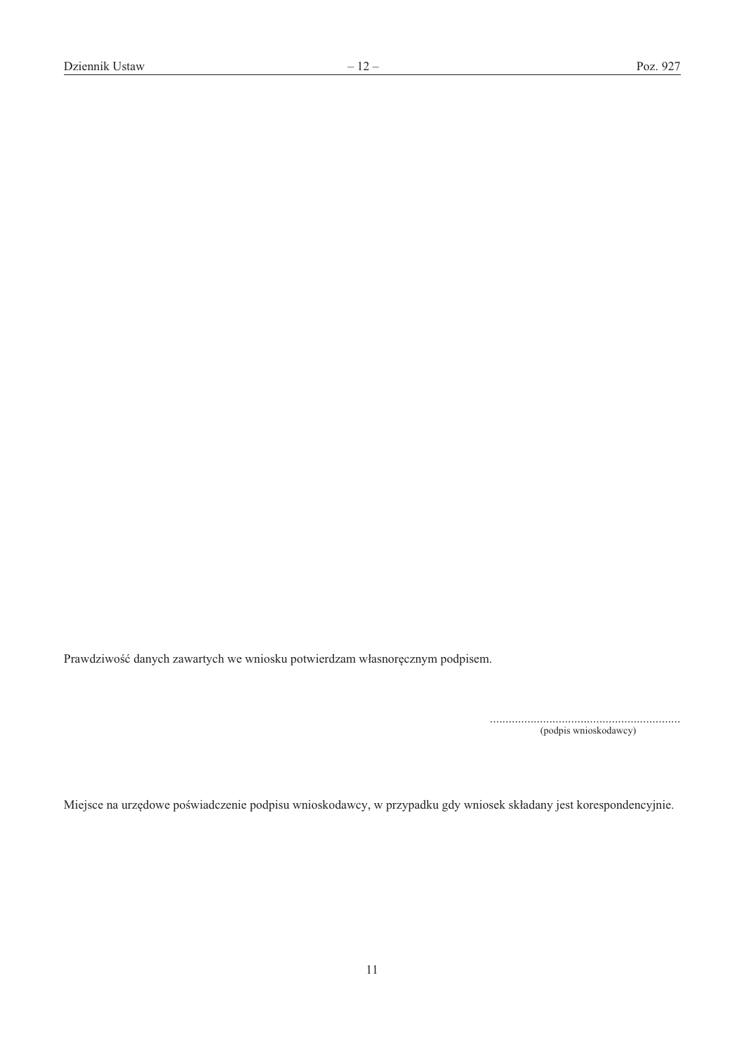Prawdziwość danych zawartych we wniosku potwierdzam własnoręcznym podpisem.

(podpis wnioskodawcy)

Miejsce na urzędowe poświadczenie podpisu wnioskodawcy, w przypadku gdy wniosek składany jest korespondencyjnie.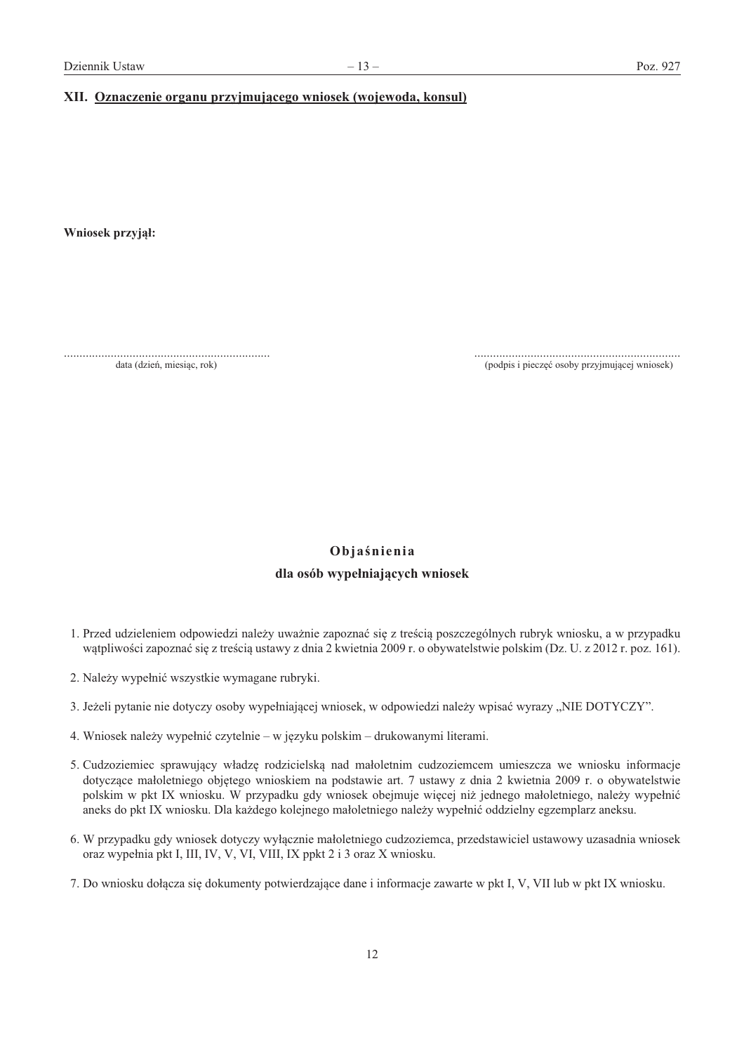#### XII. Oznaczenie organu przyjmującego wniosek (wojewoda, konsul)

Wniosek przyjął:

data (dzień, miesiąc, rok)

(podpis i pieczęć osoby przyjmującej wniosek)

### Objaśnienia dla osób wypełniających wniosek

- 1. Przed udzieleniem odpowiedzi należy uważnie zapoznać się z treścią poszczególnych rubryk wniosku, a w przypadku wątpliwości zapoznać się z treścią ustawy z dnia 2 kwietnia 2009 r. o obywatelstwie polskim (Dz. U. z 2012 r. poz. 161).
- 2. Należy wypełnić wszystkie wymagane rubryki.
- 3. Jeżeli pytanie nie dotyczy osoby wypełniającej wniosek, w odpowiedzi należy wpisać wyrazy "NIE DOTYCZY".
- 4. Wniosek należy wypełnić czytelnie w języku polskim drukowanymi literami.
- 5. Cudzoziemiec sprawujący władzę rodzicielską nad małoletnim cudzoziemcem umieszcza we wniosku informacje dotyczące małoletniego objętego wnioskiem na podstawie art. 7 ustawy z dnia 2 kwietnia 2009 r. o obywatelstwie polskim w pkt IX wniosku. W przypadku gdy wniosek obejmuje więcej niż jednego małoletniego, należy wypełnić aneks do pkt IX wniosku. Dla każdego kolejnego małoletniego należy wypełnić oddzielny egzemplarz aneksu.
- 6. W przypadku gdy wniosek dotyczy wyłącznie małoletniego cudzoziemca, przedstawiciel ustawowy uzasadnia wniosek oraz wypełnia pkt I, III, IV, V, VI, VIII, IX ppkt 2 i 3 oraz X wniosku.
- 7. Do wniosku dołącza się dokumenty potwierdzające dane i informacje zawarte w pkt I, V, VII lub w pkt IX wniosku.